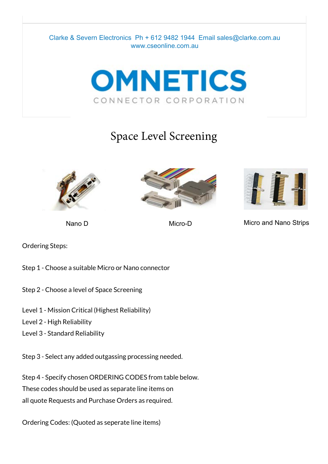



# Space Level Screening







Nano D Micro-D Micro-D Micro and Nano Strips

Ordering Steps:

Step 1 - Choose a suitable Micro or Nano connector

- Step 2 Choose a level of Space Screening
- Level 1 Mission Critical (Highest Reliability)
- Level 2 High Reliability
- Level 3 Standard Reliability

Step 3 - Select any added outgassing processing needed.

Step 4 - Specify chosen ORDERING CODES from table below.

These codes should be used as separate line items on

all quote Requests and Purchase Orders as required.

Ordering Codes: (Quoted as seperate line items)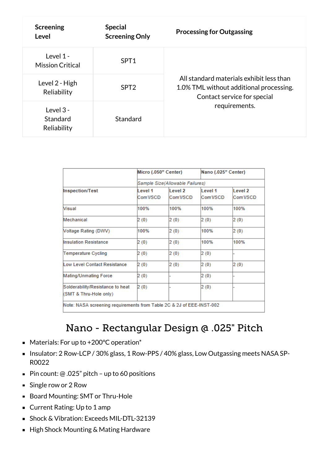| <b>Screening</b><br>Level              | <b>Special</b><br><b>Screening Only</b> | <b>Processing for Outgassing</b>                                                                                                    |  |
|----------------------------------------|-----------------------------------------|-------------------------------------------------------------------------------------------------------------------------------------|--|
| Level 1 -<br><b>Mission Critical</b>   | SPT <sub>1</sub>                        | All standard materials exhibit less than<br>1.0% TML without additional processing.<br>Contact service for special<br>requirements. |  |
| Level 2 - High<br>Reliability          | SPT <sub>2</sub>                        |                                                                                                                                     |  |
| Level $3 -$<br>Standard<br>Reliability | Standard                                |                                                                                                                                     |  |

|                                                                      | Micro (.050" Center)            |                                 | Nano (.025" Center)  |                      |  |
|----------------------------------------------------------------------|---------------------------------|---------------------------------|----------------------|----------------------|--|
|                                                                      | Sample Size(Allowable Failures) |                                 |                      |                      |  |
| Inspection/Test                                                      | I evel 1<br>Com'I/SCD           | Level <sub>2</sub><br>Com'I/SCD | Level 1<br>Com'I/SCD | Level 2<br>Com'l/SCD |  |
| <b>Visual</b>                                                        | 100%                            | 100%                            | 100%                 | 100%                 |  |
| Mechanical                                                           | 2(0)                            | 2(0)                            | 2(0)                 | 2(0)                 |  |
| <b>Noltage Rating (DWV)</b>                                          | 100%                            | 2(0)                            | 100%                 | 2(0)                 |  |
| <b>Insulation Resistance</b>                                         | 2(0)                            | 2(0)                            | 100%                 | 100%                 |  |
| Temperature Cycling                                                  | 2 (0)                           | 2(0)                            | 2(0)                 |                      |  |
| Low Level Contact Resistance                                         | 2(0)                            | 2(0)                            | 2(0)                 | 2(0)                 |  |
| Mating/Unmating Force                                                | 2 (0)                           |                                 | 2(0)                 |                      |  |
| Solderability/Resistance to heat<br>(SMT & Thru-Hole only)           | 2(0)                            |                                 | 2(0)                 |                      |  |
| Note: NASA screening requirements from Table 2C & 2J of EEE-INST-002 |                                 |                                 |                      |                      |  |

#### Nano - Rectangular Design @ .025" Pitch

- Materials: For up to +200°C operation<sup>\*</sup>
- Insulator: 2 Row-LCP / 30% glass, 1 Row-PPS / 40% glass, Low Outgassing meets NASA SP-R0022
- Pin count:  $@.025"$  pitch up to 60 positions
- Single row or 2 Row
- Board Mounting: SMT or Thru-Hole
- Current Rating: Up to 1 amp
- **Shock & Vibration: Exceeds MIL-DTL-32139**
- High Shock Mounting & Mating Hardware